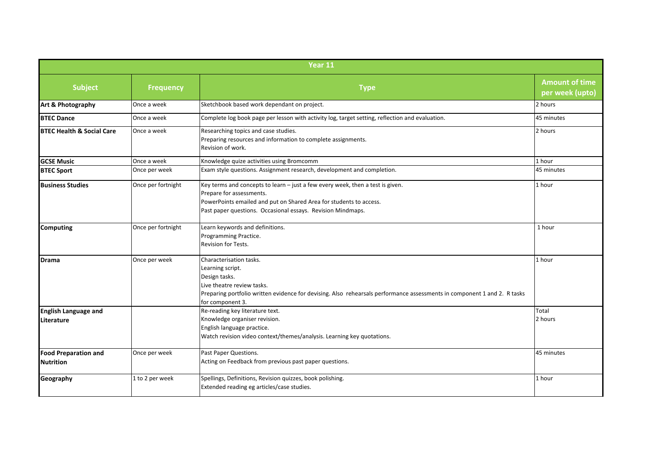| Year 11                              |                    |                                                                                                                                                                                                                                                 |                                          |  |
|--------------------------------------|--------------------|-------------------------------------------------------------------------------------------------------------------------------------------------------------------------------------------------------------------------------------------------|------------------------------------------|--|
| <b>Subject</b>                       | <b>Frequency</b>   | <b>Type</b>                                                                                                                                                                                                                                     | <b>Amount of time</b><br>per week (upto) |  |
| Art & Photography                    | Once a week        | Sketchbook based work dependant on project.                                                                                                                                                                                                     | 2 hours                                  |  |
| <b>BTEC Dance</b>                    | Once a week        | Complete log book page per lesson with activity log, target setting, reflection and evaluation.                                                                                                                                                 | 45 minutes                               |  |
| <b>BTEC Health &amp; Social Care</b> | Once a week        | Researching topics and case studies.<br>Preparing resources and information to complete assignments.<br>Revision of work.                                                                                                                       | 2 hours                                  |  |
| <b>GCSE Music</b>                    | Once a week        | Knowledge quize activities using Bromcomm                                                                                                                                                                                                       | 1 hour                                   |  |
| <b>BTEC Sport</b>                    | Once per week      | Exam style questions. Assignment research, development and completion.                                                                                                                                                                          | 45 minutes                               |  |
| <b>Business Studies</b>              | Once per fortnight | Key terms and concepts to learn - just a few every week, then a test is given.<br>Prepare for assessments.<br>PowerPoints emailed and put on Shared Area for students to access.<br>Past paper questions. Occasional essays. Revision Mindmaps. | 1 hour                                   |  |
| <b>Computing</b>                     | Once per fortnight | Learn keywords and definitions.<br>Programming Practice.<br>Revision for Tests.                                                                                                                                                                 | 1 hour                                   |  |
| <b>Drama</b>                         | Once per week      | Characterisation tasks.<br>Learning script.<br>Design tasks.<br>Live theatre review tasks.<br>Preparing portfolio written evidence for devising. Also rehearsals performance assessments in component 1 and 2. R tasks<br>for component 3.      | 1 hour                                   |  |
| <b>English Language and</b>          |                    | Re-reading key literature text.                                                                                                                                                                                                                 | Total                                    |  |
| Literature                           |                    | Knowledge organiser revision.<br>English language practice.<br>Watch revision video context/themes/analysis. Learning key quotations.                                                                                                           | 2 hours                                  |  |
| <b>Food Preparation and</b>          | Once per week      | Past Paper Questions.                                                                                                                                                                                                                           | 45 minutes                               |  |
| <b>Nutrition</b>                     |                    | Acting on Feedback from previous past paper questions.                                                                                                                                                                                          |                                          |  |
| Geography                            | 1 to 2 per week    | Spellings, Definitions, Revision quizzes, book polishing.<br>Extended reading eg articles/case studies.                                                                                                                                         | 1 hour                                   |  |